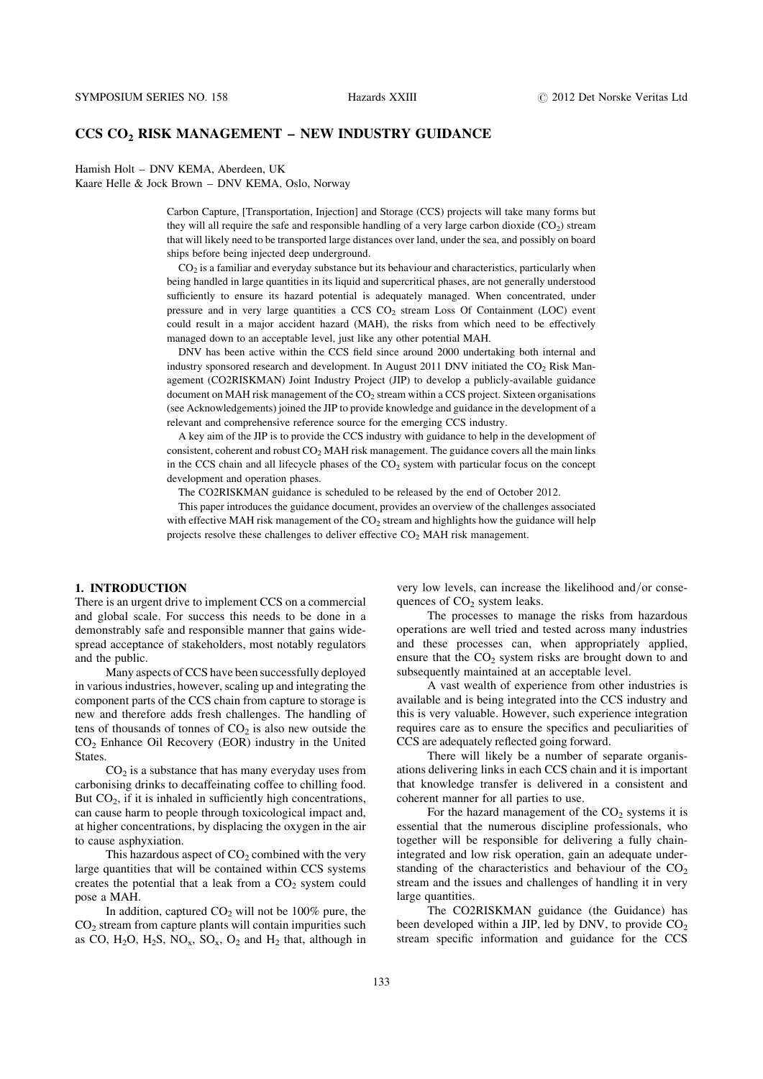# CCS CO2 RISK MANAGEMENT – NEW INDUSTRY GUIDANCE

Hamish Holt – DNV KEMA, Aberdeen, UK

Kaare Helle & Jock Brown – DNV KEMA, Oslo, Norway

Carbon Capture, [Transportation, Injection] and Storage (CCS) projects will take many forms but they will all require the safe and responsible handling of a very large carbon dioxide  $(CO<sub>2</sub>)$  stream that will likely need to be transported large distances over land, under the sea, and possibly on board ships before being injected deep underground.

CO2 is a familiar and everyday substance but its behaviour and characteristics, particularly when being handled in large quantities in its liquid and supercritical phases, are not generally understood sufficiently to ensure its hazard potential is adequately managed. When concentrated, under pressure and in very large quantities a  $CCS CO<sub>2</sub>$  stream Loss Of Containment (LOC) event could result in a major accident hazard (MAH), the risks from which need to be effectively managed down to an acceptable level, just like any other potential MAH.

DNV has been active within the CCS field since around 2000 undertaking both internal and industry sponsored research and development. In August 2011 DNV initiated the  $CO<sub>2</sub>$  Risk Management (CO2RISKMAN) Joint Industry Project (JIP) to develop a publicly-available guidance document on MAH risk management of the  $CO<sub>2</sub>$  stream within a CCS project. Sixteen organisations (see Acknowledgements) joined the JIP to provide knowledge and guidance in the development of a relevant and comprehensive reference source for the emerging CCS industry.

A key aim of the JIP is to provide the CCS industry with guidance to help in the development of consistent, coherent and robust  $CO<sub>2</sub> MAH$  risk management. The guidance covers all the main links in the CCS chain and all lifecycle phases of the  $CO<sub>2</sub>$  system with particular focus on the concept development and operation phases.

The CO2RISKMAN guidance is scheduled to be released by the end of October 2012.

This paper introduces the guidance document, provides an overview of the challenges associated with effective MAH risk management of the  $CO<sub>2</sub>$  stream and highlights how the guidance will help projects resolve these challenges to deliver effective  $CO<sub>2</sub>$  MAH risk management.

# 1. INTRODUCTION

There is an urgent drive to implement CCS on a commercial and global scale. For success this needs to be done in a demonstrably safe and responsible manner that gains widespread acceptance of stakeholders, most notably regulators and the public.

Many aspects of CCS have been successfully deployed in various industries, however, scaling up and integrating the component parts of the CCS chain from capture to storage is new and therefore adds fresh challenges. The handling of tens of thousands of tonnes of  $CO<sub>2</sub>$  is also new outside the  $CO<sub>2</sub>$  Enhance Oil Recovery (EOR) industry in the United States.

 $CO<sub>2</sub>$  is a substance that has many everyday uses from carbonising drinks to decaffeinating coffee to chilling food. But  $CO<sub>2</sub>$ , if it is inhaled in sufficiently high concentrations, can cause harm to people through toxicological impact and, at higher concentrations, by displacing the oxygen in the air to cause asphyxiation.

This hazardous aspect of  $CO<sub>2</sub>$  combined with the very large quantities that will be contained within CCS systems creates the potential that a leak from a  $CO<sub>2</sub>$  system could pose a MAH.

In addition, captured  $CO<sub>2</sub>$  will not be 100% pure, the  $CO<sub>2</sub>$  stream from capture plants will contain impurities such as CO,  $H_2O$ ,  $H_2S$ ,  $NO_x$ ,  $SO_x$ ,  $O_2$  and  $H_2$  that, although in

very low levels, can increase the likelihood and/or consequences of  $CO<sub>2</sub>$  system leaks.

The processes to manage the risks from hazardous operations are well tried and tested across many industries and these processes can, when appropriately applied, ensure that the  $CO<sub>2</sub>$  system risks are brought down to and subsequently maintained at an acceptable level.

A vast wealth of experience from other industries is available and is being integrated into the CCS industry and this is very valuable. However, such experience integration requires care as to ensure the specifics and peculiarities of CCS are adequately reflected going forward.

There will likely be a number of separate organisations delivering links in each CCS chain and it is important that knowledge transfer is delivered in a consistent and coherent manner for all parties to use.

For the hazard management of the  $CO<sub>2</sub>$  systems it is essential that the numerous discipline professionals, who together will be responsible for delivering a fully chainintegrated and low risk operation, gain an adequate understanding of the characteristics and behaviour of the  $CO<sub>2</sub>$ stream and the issues and challenges of handling it in very large quantities.

The CO2RISKMAN guidance (the Guidance) has been developed within a JIP, led by DNV, to provide  $CO<sub>2</sub>$ stream specific information and guidance for the CCS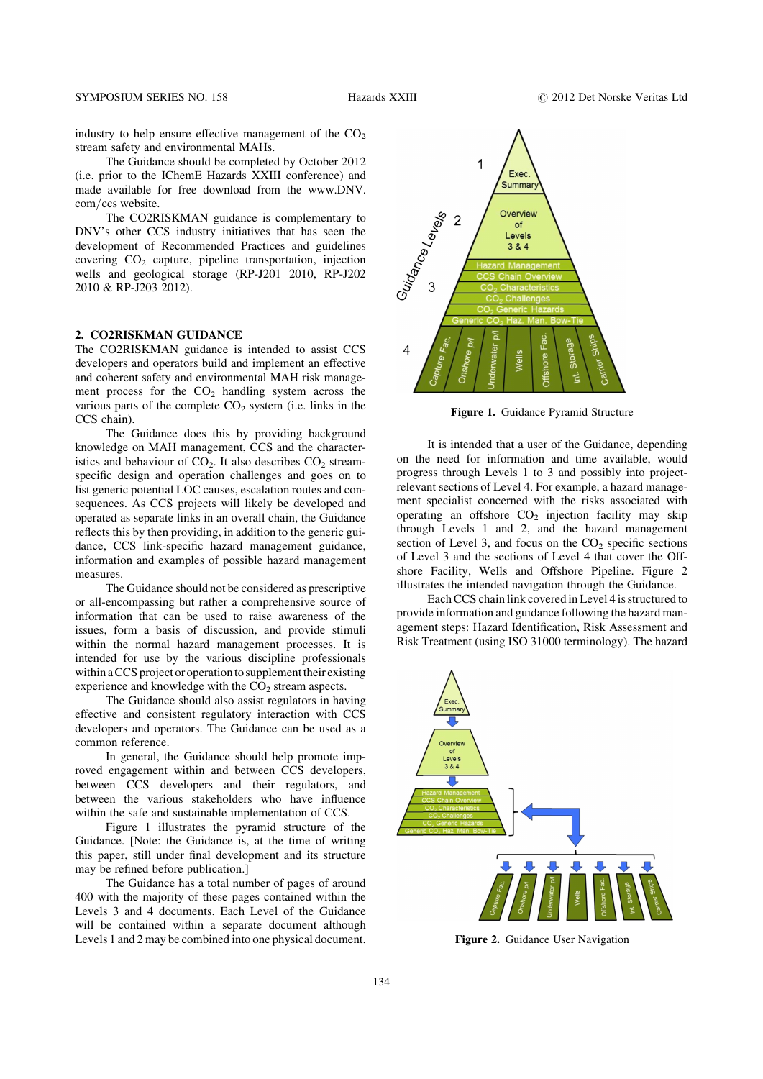industry to help ensure effective management of the  $CO<sub>2</sub>$ stream safety and environmental MAHs.

The Guidance should be completed by October 2012 (i.e. prior to the IChemE Hazards XXIII conference) and made available for free download from the www.DNV. com/ccs website.

The CO2RISKMAN guidance is complementary to DNV's other CCS industry initiatives that has seen the development of Recommended Practices and guidelines covering CO2 capture, pipeline transportation, injection wells and geological storage (RP-J201 2010, RP-J202 2010 & RP-J203 2012).

# 2. CO2RISKMAN GUIDANCE

The CO2RISKMAN guidance is intended to assist CCS developers and operators build and implement an effective and coherent safety and environmental MAH risk management process for the  $CO<sub>2</sub>$  handling system across the various parts of the complete  $CO<sub>2</sub>$  system (i.e. links in the CCS chain).

The Guidance does this by providing background knowledge on MAH management, CCS and the characteristics and behaviour of  $CO<sub>2</sub>$ . It also describes  $CO<sub>2</sub>$  streamspecific design and operation challenges and goes on to list generic potential LOC causes, escalation routes and consequences. As CCS projects will likely be developed and operated as separate links in an overall chain, the Guidance reflects this by then providing, in addition to the generic guidance, CCS link-specific hazard management guidance, information and examples of possible hazard management measures.

The Guidance should not be considered as prescriptive or all-encompassing but rather a comprehensive source of information that can be used to raise awareness of the issues, form a basis of discussion, and provide stimuli within the normal hazard management processes. It is intended for use by the various discipline professionals within a CCS project or operation to supplement their existing experience and knowledge with the  $CO<sub>2</sub>$  stream aspects.

The Guidance should also assist regulators in having effective and consistent regulatory interaction with CCS developers and operators. The Guidance can be used as a common reference.

In general, the Guidance should help promote improved engagement within and between CCS developers, between CCS developers and their regulators, and between the various stakeholders who have influence within the safe and sustainable implementation of CCS.

Figure 1 illustrates the pyramid structure of the Guidance. [Note: the Guidance is, at the time of writing this paper, still under final development and its structure may be refined before publication.]

The Guidance has a total number of pages of around 400 with the majority of these pages contained within the Levels 3 and 4 documents. Each Level of the Guidance will be contained within a separate document although Levels 1 and 2 may be combined into one physical document.



Figure 1. Guidance Pyramid Structure

It is intended that a user of the Guidance, depending on the need for information and time available, would progress through Levels 1 to 3 and possibly into projectrelevant sections of Level 4. For example, a hazard management specialist concerned with the risks associated with operating an offshore  $CO<sub>2</sub>$  injection facility may skip through Levels 1 and 2, and the hazard management section of Level 3, and focus on the  $CO<sub>2</sub>$  specific sections of Level 3 and the sections of Level 4 that cover the Offshore Facility, Wells and Offshore Pipeline. Figure 2 illustrates the intended navigation through the Guidance.

Each CCS chain link covered in Level 4 is structured to provide information and guidance following the hazard management steps: Hazard Identification, Risk Assessment and Risk Treatment (using ISO 31000 terminology). The hazard



Figure 2. Guidance User Navigation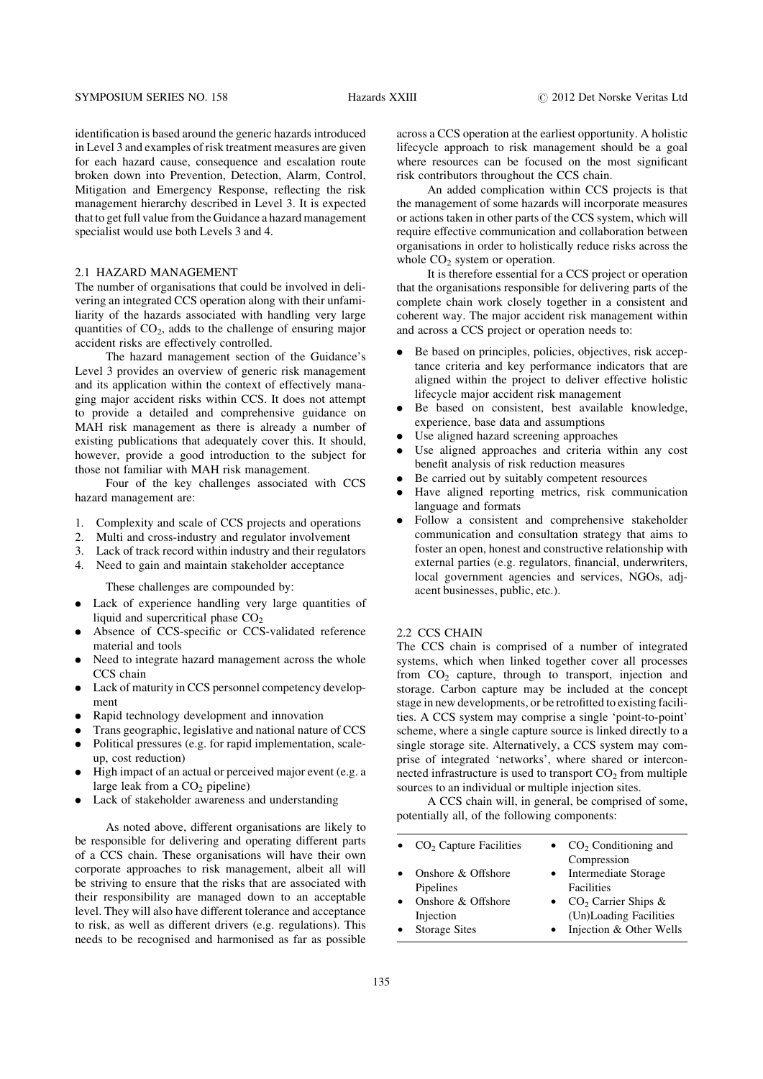identification is based around the generic hazards introduced in Level 3 and examples of risk treatment measures are given for each hazard cause, consequence and escalation route broken down into Prevention, Detection, Alarm, Control, Mitigation and Emergency Response, reflecting the risk management hierarchy described in Level 3. It is expected that to get full value from the Guidance a hazard management specialist would use both Levels 3 and 4.

#### 2.1 HAZARD MANAGEMENT

The number of organisations that could be involved in delivering an integrated CCS operation along with their unfamiliarity of the hazards associated with handling very large quantities of  $CO<sub>2</sub>$ , adds to the challenge of ensuring major accident risks are effectively controlled.

The hazard management section of the Guidance's Level 3 provides an overview of generic risk management and its application within the context of effectively managing major accident risks within CCS. It does not attempt to provide a detailed and comprehensive guidance on MAH risk management as there is already a number of existing publications that adequately cover this. It should, however, provide a good introduction to the subject for those not familiar with MAH risk management.

Four of the key challenges associated with CCS hazard management are:

- 1. Complexity and scale of CCS projects and operations
- 2. Multi and cross-industry and regulator involvement
- 3. Lack of track record within industry and their regulators
- 4. Need to gain and maintain stakeholder acceptance

These challenges are compounded by:

- . Lack of experience handling very large quantities of liquid and supercritical phase  $CO<sub>2</sub>$
- . Absence of CCS-specific or CCS-validated reference material and tools
- Need to integrate hazard management across the whole CCS chain
- . Lack of maturity in CCS personnel competency development
- . Rapid technology development and innovation
- . Trans geographic, legislative and national nature of CCS . Political pressures (e.g. for rapid implementation, scale-
- up, cost reduction)
- . High impact of an actual or perceived major event (e.g. a large leak from a  $CO<sub>2</sub>$  pipeline)
- . Lack of stakeholder awareness and understanding

As noted above, different organisations are likely to be responsible for delivering and operating different parts of a CCS chain. These organisations will have their own corporate approaches to risk management, albeit all will be striving to ensure that the risks that are associated with their responsibility are managed down to an acceptable level. They will also have different tolerance and acceptance to risk, as well as different drivers (e.g. regulations). This needs to be recognised and harmonised as far as possible

across a CCS operation at the earliest opportunity. A holistic lifecycle approach to risk management should be a goal where resources can be focused on the most significant risk contributors throughout the CCS chain.

An added complication within CCS projects is that the management of some hazards will incorporate measures or actions taken in other parts of the CCS system, which will require effective communication and collaboration between organisations in order to holistically reduce risks across the whole  $CO<sub>2</sub>$  system or operation.

It is therefore essential for a CCS project or operation that the organisations responsible for delivering parts of the complete chain work closely together in a consistent and coherent way. The major accident risk management within and across a CCS project or operation needs to:

- . Be based on principles, policies, objectives, risk acceptance criteria and key performance indicators that are aligned within the project to deliver effective holistic lifecycle major accident risk management
- . Be based on consistent, best available knowledge, experience, base data and assumptions
- . Use aligned hazard screening approaches
- . Use aligned approaches and criteria within any cost benefit analysis of risk reduction measures
- . Be carried out by suitably competent resources
- . Have aligned reporting metrics, risk communication language and formats
- . Follow a consistent and comprehensive stakeholder communication and consultation strategy that aims to foster an open, honest and constructive relationship with external parties (e.g. regulators, financial, underwriters, local government agencies and services, NGOs, adjacent businesses, public, etc.).

#### 2.2 CCS CHAIN

The CCS chain is comprised of a number of integrated systems, which when linked together cover all processes from  $CO<sub>2</sub>$  capture, through to transport, injection and storage. Carbon capture may be included at the concept stage in new developments, or be retrofitted to existing facilities. A CCS system may comprise a single 'point-to-point' scheme, where a single capture source is linked directly to a single storage site. Alternatively, a CCS system may comprise of integrated 'networks', where shared or interconnected infrastructure is used to transport  $CO<sub>2</sub>$  from multiple sources to an individual or multiple injection sites.

A CCS chain will, in general, be comprised of some, potentially all, of the following components:

| $CO2$ Capture Facilities                                | $CO2$ Conditioning and<br>Compression                                      |
|---------------------------------------------------------|----------------------------------------------------------------------------|
| Onshore & Offshore<br>Pipelines                         | Intermediate Storage<br>Facilities                                         |
| Onshore & Offshore<br>Injection<br><b>Storage Sites</b> | $CO2$ Carrier Ships &<br>(Un)Loading Facilities<br>Injection & Other Wells |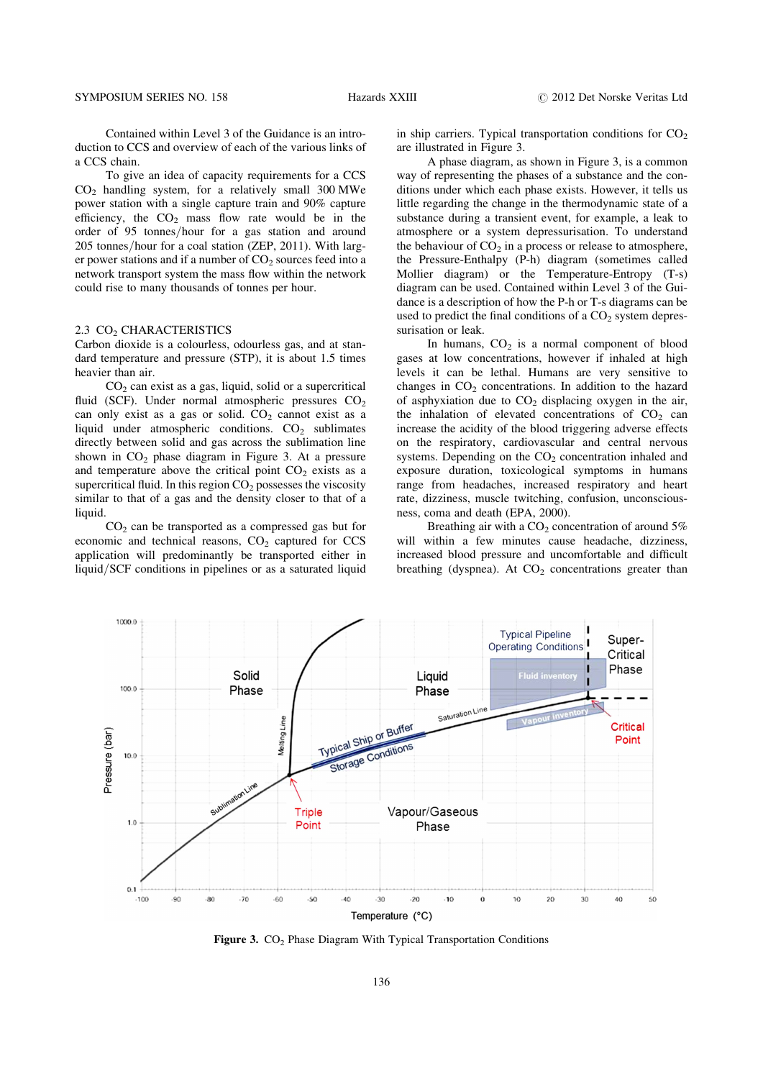Contained within Level 3 of the Guidance is an introduction to CCS and overview of each of the various links of a CCS chain.

To give an idea of capacity requirements for a CCS  $CO<sub>2</sub>$  handling system, for a relatively small 300 MWe power station with a single capture train and 90% capture efficiency, the  $CO<sub>2</sub>$  mass flow rate would be in the order of 95 tonnes/hour for a gas station and around 205 tonnes/hour for a coal station (ZEP, 2011). With larger power stations and if a number of  $CO<sub>2</sub>$  sources feed into a network transport system the mass flow within the network could rise to many thousands of tonnes per hour.

### 2.3 CO<sub>2</sub> CHARACTERISTICS

Carbon dioxide is a colourless, odourless gas, and at standard temperature and pressure (STP), it is about 1.5 times heavier than air.

 $CO<sub>2</sub>$  can exist as a gas, liquid, solid or a supercritical fluid (SCF). Under normal atmospheric pressures  $CO<sub>2</sub>$ can only exist as a gas or solid.  $CO<sub>2</sub>$  cannot exist as a liquid under atmospheric conditions.  $CO<sub>2</sub>$  sublimates directly between solid and gas across the sublimation line shown in  $CO<sub>2</sub>$  phase diagram in Figure 3. At a pressure and temperature above the critical point  $CO<sub>2</sub>$  exists as a supercritical fluid. In this region  $CO<sub>2</sub>$  possesses the viscosity similar to that of a gas and the density closer to that of a liquid.

 $CO<sub>2</sub>$  can be transported as a compressed gas but for economic and technical reasons,  $CO<sub>2</sub>$  captured for CCS application will predominantly be transported either in liquid/SCF conditions in pipelines or as a saturated liquid in ship carriers. Typical transportation conditions for  $CO<sub>2</sub>$ are illustrated in Figure 3.

A phase diagram, as shown in Figure 3, is a common way of representing the phases of a substance and the conditions under which each phase exists. However, it tells us little regarding the change in the thermodynamic state of a substance during a transient event, for example, a leak to atmosphere or a system depressurisation. To understand the behaviour of  $CO<sub>2</sub>$  in a process or release to atmosphere, the Pressure-Enthalpy (P-h) diagram (sometimes called Mollier diagram) or the Temperature-Entropy (T-s) diagram can be used. Contained within Level 3 of the Guidance is a description of how the P-h or T-s diagrams can be used to predict the final conditions of a  $CO<sub>2</sub>$  system depressurisation or leak.

In humans,  $CO<sub>2</sub>$  is a normal component of blood gases at low concentrations, however if inhaled at high levels it can be lethal. Humans are very sensitive to changes in  $CO<sub>2</sub>$  concentrations. In addition to the hazard of asphyxiation due to  $CO<sub>2</sub>$  displacing oxygen in the air, the inhalation of elevated concentrations of  $CO<sub>2</sub>$  can increase the acidity of the blood triggering adverse effects on the respiratory, cardiovascular and central nervous systems. Depending on the  $CO<sub>2</sub>$  concentration inhaled and exposure duration, toxicological symptoms in humans range from headaches, increased respiratory and heart rate, dizziness, muscle twitching, confusion, unconsciousness, coma and death (EPA, 2000).

Breathing air with a  $CO<sub>2</sub>$  concentration of around 5% will within a few minutes cause headache, dizziness, increased blood pressure and uncomfortable and difficult breathing (dyspnea). At  $CO<sub>2</sub>$  concentrations greater than



Figure 3.  $CO<sub>2</sub>$  Phase Diagram With Typical Transportation Conditions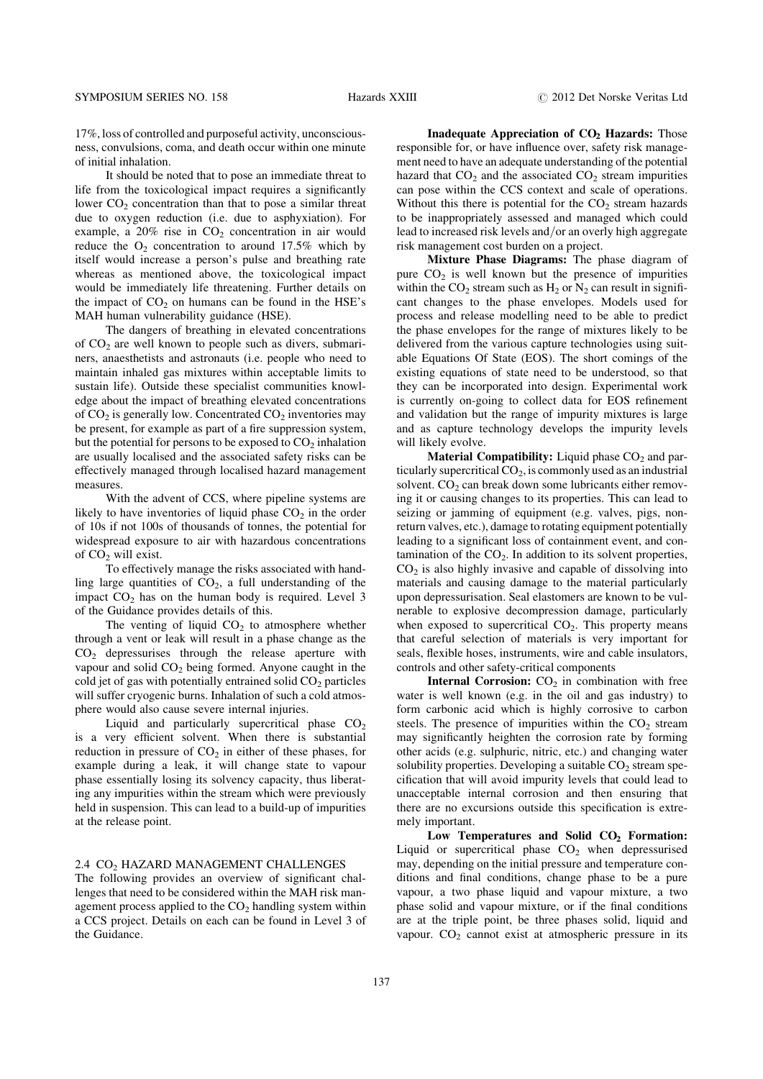17%, loss of controlled and purposeful activity, unconsciousness, convulsions, coma, and death occur within one minute of initial inhalation.

It should be noted that to pose an immediate threat to life from the toxicological impact requires a significantly lower  $CO<sub>2</sub>$  concentration than that to pose a similar threat due to oxygen reduction (i.e. due to asphyxiation). For example, a  $20\%$  rise in  $CO<sub>2</sub>$  concentration in air would reduce the  $O_2$  concentration to around 17.5% which by itself would increase a person's pulse and breathing rate whereas as mentioned above, the toxicological impact would be immediately life threatening. Further details on the impact of  $CO<sub>2</sub>$  on humans can be found in the HSE's MAH human vulnerability guidance (HSE).

The dangers of breathing in elevated concentrations of  $CO<sub>2</sub>$  are well known to people such as divers, submariners, anaesthetists and astronauts (i.e. people who need to maintain inhaled gas mixtures within acceptable limits to sustain life). Outside these specialist communities knowledge about the impact of breathing elevated concentrations of  $CO<sub>2</sub>$  is generally low. Concentrated  $CO<sub>2</sub>$  inventories may be present, for example as part of a fire suppression system, but the potential for persons to be exposed to  $CO<sub>2</sub>$  inhalation are usually localised and the associated safety risks can be effectively managed through localised hazard management measures.

With the advent of CCS, where pipeline systems are likely to have inventories of liquid phase  $CO<sub>2</sub>$  in the order of 10s if not 100s of thousands of tonnes, the potential for widespread exposure to air with hazardous concentrations of  $CO<sub>2</sub>$  will exist.

To effectively manage the risks associated with handling large quantities of  $CO<sub>2</sub>$ , a full understanding of the impact  $CO<sub>2</sub>$  has on the human body is required. Level 3 of the Guidance provides details of this.

The venting of liquid  $CO<sub>2</sub>$  to atmosphere whether through a vent or leak will result in a phase change as the CO2 depressurises through the release aperture with vapour and solid  $CO<sub>2</sub>$  being formed. Anyone caught in the cold jet of gas with potentially entrained solid  $CO<sub>2</sub>$  particles will suffer cryogenic burns. Inhalation of such a cold atmosphere would also cause severe internal injuries.

Liquid and particularly supercritical phase  $CO<sub>2</sub>$ is a very efficient solvent. When there is substantial reduction in pressure of  $CO<sub>2</sub>$  in either of these phases, for example during a leak, it will change state to vapour phase essentially losing its solvency capacity, thus liberating any impurities within the stream which were previously held in suspension. This can lead to a build-up of impurities at the release point.

### 2.4 CO<sub>2</sub> HAZARD MANAGEMENT CHALLENGES

The following provides an overview of significant challenges that need to be considered within the MAH risk management process applied to the  $CO<sub>2</sub>$  handling system within a CCS project. Details on each can be found in Level 3 of the Guidance.

Inadequate Appreciation of  $CO<sub>2</sub>$  Hazards: Those responsible for, or have influence over, safety risk management need to have an adequate understanding of the potential hazard that  $CO<sub>2</sub>$  and the associated  $CO<sub>2</sub>$  stream impurities can pose within the CCS context and scale of operations. Without this there is potential for the  $CO<sub>2</sub>$  stream hazards to be inappropriately assessed and managed which could lead to increased risk levels and/or an overly high aggregate risk management cost burden on a project.

Mixture Phase Diagrams: The phase diagram of pure  $CO<sub>2</sub>$  is well known but the presence of impurities within the  $CO_2$  stream such as  $H_2$  or  $N_2$  can result in significant changes to the phase envelopes. Models used for process and release modelling need to be able to predict the phase envelopes for the range of mixtures likely to be delivered from the various capture technologies using suitable Equations Of State (EOS). The short comings of the existing equations of state need to be understood, so that they can be incorporated into design. Experimental work is currently on-going to collect data for EOS refinement and validation but the range of impurity mixtures is large and as capture technology develops the impurity levels will likely evolve.

**Material Compatibility:** Liquid phase  $CO<sub>2</sub>$  and particularly supercritical  $CO<sub>2</sub>$ , is commonly used as an industrial solvent.  $CO<sub>2</sub>$  can break down some lubricants either removing it or causing changes to its properties. This can lead to seizing or jamming of equipment (e.g. valves, pigs, nonreturn valves, etc.), damage to rotating equipment potentially leading to a significant loss of containment event, and contamination of the  $CO<sub>2</sub>$ . In addition to its solvent properties,  $CO<sub>2</sub>$  is also highly invasive and capable of dissolving into materials and causing damage to the material particularly upon depressurisation. Seal elastomers are known to be vulnerable to explosive decompression damage, particularly when exposed to supercritical  $CO<sub>2</sub>$ . This property means that careful selection of materials is very important for seals, flexible hoses, instruments, wire and cable insulators, controls and other safety-critical components

**Internal Corrosion:**  $CO<sub>2</sub>$  in combination with free water is well known (e.g. in the oil and gas industry) to form carbonic acid which is highly corrosive to carbon steels. The presence of impurities within the  $CO<sub>2</sub>$  stream may significantly heighten the corrosion rate by forming other acids (e.g. sulphuric, nitric, etc.) and changing water solubility properties. Developing a suitable  $CO<sub>2</sub>$  stream specification that will avoid impurity levels that could lead to unacceptable internal corrosion and then ensuring that there are no excursions outside this specification is extremely important.

Low Temperatures and Solid  $CO<sub>2</sub>$  Formation: Liquid or supercritical phase  $CO<sub>2</sub>$  when depressurised may, depending on the initial pressure and temperature conditions and final conditions, change phase to be a pure vapour, a two phase liquid and vapour mixture, a two phase solid and vapour mixture, or if the final conditions are at the triple point, be three phases solid, liquid and vapour.  $CO<sub>2</sub>$  cannot exist at atmospheric pressure in its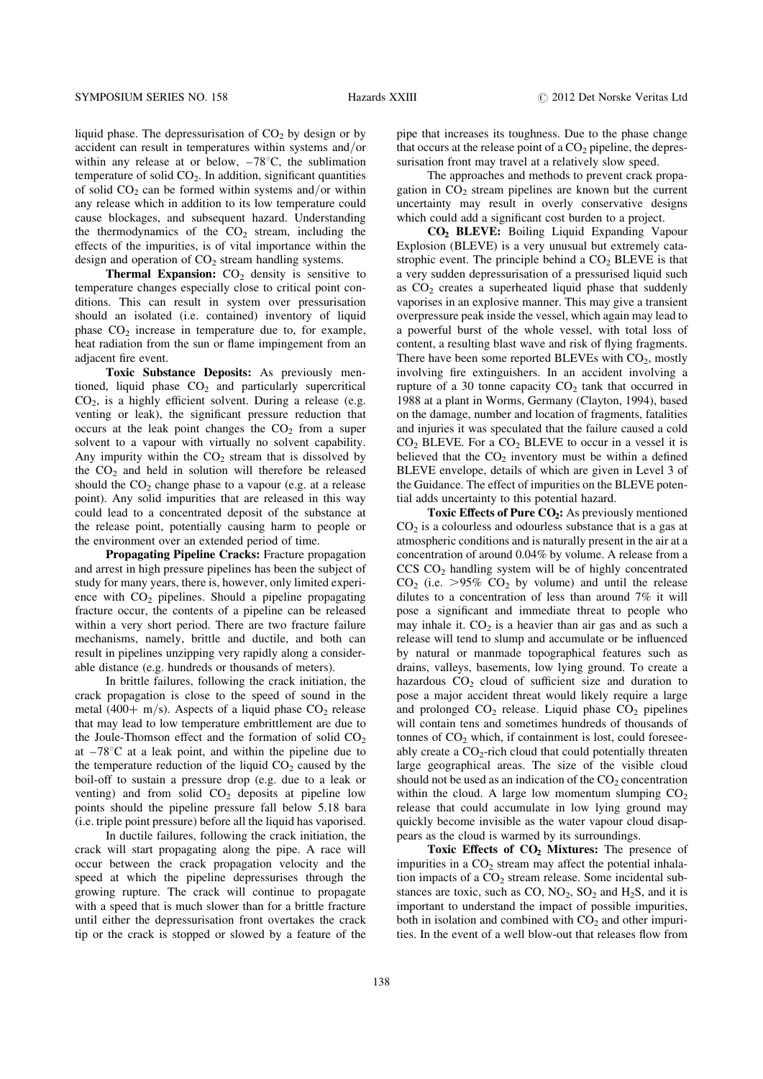liquid phase. The depressurisation of  $CO<sub>2</sub>$  by design or by accident can result in temperatures within systems and/or within any release at or below,  $-78^{\circ}$ C, the sublimation temperature of solid  $CO<sub>2</sub>$ . In addition, significant quantities of solid  $CO<sub>2</sub>$  can be formed within systems and/or within any release which in addition to its low temperature could cause blockages, and subsequent hazard. Understanding the thermodynamics of the  $CO<sub>2</sub>$  stream, including the effects of the impurities, is of vital importance within the design and operation of  $CO<sub>2</sub>$  stream handling systems.

**Thermal Expansion:**  $CO<sub>2</sub>$  density is sensitive to temperature changes especially close to critical point conditions. This can result in system over pressurisation should an isolated (i.e. contained) inventory of liquid phase  $CO<sub>2</sub>$  increase in temperature due to, for example, heat radiation from the sun or flame impingement from an adjacent fire event.

Toxic Substance Deposits: As previously mentioned, liquid phase  $CO<sub>2</sub>$  and particularly supercritical  $CO<sub>2</sub>$ , is a highly efficient solvent. During a release (e.g. venting or leak), the significant pressure reduction that occurs at the leak point changes the  $CO<sub>2</sub>$  from a super solvent to a vapour with virtually no solvent capability. Any impurity within the  $CO<sub>2</sub>$  stream that is dissolved by the  $CO<sub>2</sub>$  and held in solution will therefore be released should the  $CO<sub>2</sub>$  change phase to a vapour (e.g. at a release point). Any solid impurities that are released in this way could lead to a concentrated deposit of the substance at the release point, potentially causing harm to people or the environment over an extended period of time.

Propagating Pipeline Cracks: Fracture propagation and arrest in high pressure pipelines has been the subject of study for many years, there is, however, only limited experience with  $CO<sub>2</sub>$  pipelines. Should a pipeline propagating fracture occur, the contents of a pipeline can be released within a very short period. There are two fracture failure mechanisms, namely, brittle and ductile, and both can result in pipelines unzipping very rapidly along a considerable distance (e.g. hundreds or thousands of meters).

In brittle failures, following the crack initiation, the crack propagation is close to the speed of sound in the metal (400+ m/s). Aspects of a liquid phase  $CO<sub>2</sub>$  release that may lead to low temperature embrittlement are due to the Joule-Thomson effect and the formation of solid  $CO<sub>2</sub>$ at  $-78^{\circ}$ C at a leak point, and within the pipeline due to the temperature reduction of the liquid  $CO<sub>2</sub>$  caused by the boil-off to sustain a pressure drop (e.g. due to a leak or venting) and from solid  $CO<sub>2</sub>$  deposits at pipeline low points should the pipeline pressure fall below 5.18 bara (i.e. triple point pressure) before all the liquid has vaporised.

In ductile failures, following the crack initiation, the crack will start propagating along the pipe. A race will occur between the crack propagation velocity and the speed at which the pipeline depressurises through the growing rupture. The crack will continue to propagate with a speed that is much slower than for a brittle fracture until either the depressurisation front overtakes the crack tip or the crack is stopped or slowed by a feature of the pipe that increases its toughness. Due to the phase change that occurs at the release point of a  $CO<sub>2</sub>$  pipeline, the depressurisation front may travel at a relatively slow speed.

The approaches and methods to prevent crack propagation in  $CO<sub>2</sub>$  stream pipelines are known but the current uncertainty may result in overly conservative designs which could add a significant cost burden to a project.

CO2 BLEVE: Boiling Liquid Expanding Vapour Explosion (BLEVE) is a very unusual but extremely catastrophic event. The principle behind a  $CO<sub>2</sub>$  BLEVE is that a very sudden depressurisation of a pressurised liquid such as  $CO<sub>2</sub>$  creates a superheated liquid phase that suddenly vaporises in an explosive manner. This may give a transient overpressure peak inside the vessel, which again may lead to a powerful burst of the whole vessel, with total loss of content, a resulting blast wave and risk of flying fragments. There have been some reported BLEVEs with  $CO<sub>2</sub>$ , mostly involving fire extinguishers. In an accident involving a rupture of a 30 tonne capacity  $CO<sub>2</sub>$  tank that occurred in 1988 at a plant in Worms, Germany (Clayton, 1994), based on the damage, number and location of fragments, fatalities and injuries it was speculated that the failure caused a cold  $CO<sub>2</sub>$  BLEVE. For a  $CO<sub>2</sub>$  BLEVE to occur in a vessel it is believed that the  $CO<sub>2</sub>$  inventory must be within a defined BLEVE envelope, details of which are given in Level 3 of the Guidance. The effect of impurities on the BLEVE potential adds uncertainty to this potential hazard.

Toxic Effects of Pure  $CO<sub>2</sub>$ : As previously mentioned  $CO<sub>2</sub>$  is a colourless and odourless substance that is a gas at atmospheric conditions and is naturally present in the air at a concentration of around 0.04% by volume. A release from a CCS CO2 handling system will be of highly concentrated  $CO<sub>2</sub>$  (i.e. >95%  $CO<sub>2</sub>$  by volume) and until the release dilutes to a concentration of less than around 7% it will pose a significant and immediate threat to people who may inhale it.  $CO<sub>2</sub>$  is a heavier than air gas and as such a release will tend to slump and accumulate or be influenced by natural or manmade topographical features such as drains, valleys, basements, low lying ground. To create a hazardous  $CO<sub>2</sub>$  cloud of sufficient size and duration to pose a major accident threat would likely require a large and prolonged  $CO<sub>2</sub>$  release. Liquid phase  $CO<sub>2</sub>$  pipelines will contain tens and sometimes hundreds of thousands of tonnes of  $CO<sub>2</sub>$  which, if containment is lost, could foreseeably create a  $CO<sub>2</sub>$ -rich cloud that could potentially threaten large geographical areas. The size of the visible cloud should not be used as an indication of the  $CO<sub>2</sub>$  concentration within the cloud. A large low momentum slumping  $CO<sub>2</sub>$ release that could accumulate in low lying ground may quickly become invisible as the water vapour cloud disappears as the cloud is warmed by its surroundings.

Toxic Effects of CO<sub>2</sub> Mixtures: The presence of impurities in a  $CO<sub>2</sub>$  stream may affect the potential inhalation impacts of a  $CO<sub>2</sub>$  stream release. Some incidental substances are toxic, such as  $CO$ ,  $NO<sub>2</sub>$ ,  $SO<sub>2</sub>$  and  $H<sub>2</sub>S$ , and it is important to understand the impact of possible impurities, both in isolation and combined with  $CO<sub>2</sub>$  and other impurities. In the event of a well blow-out that releases flow from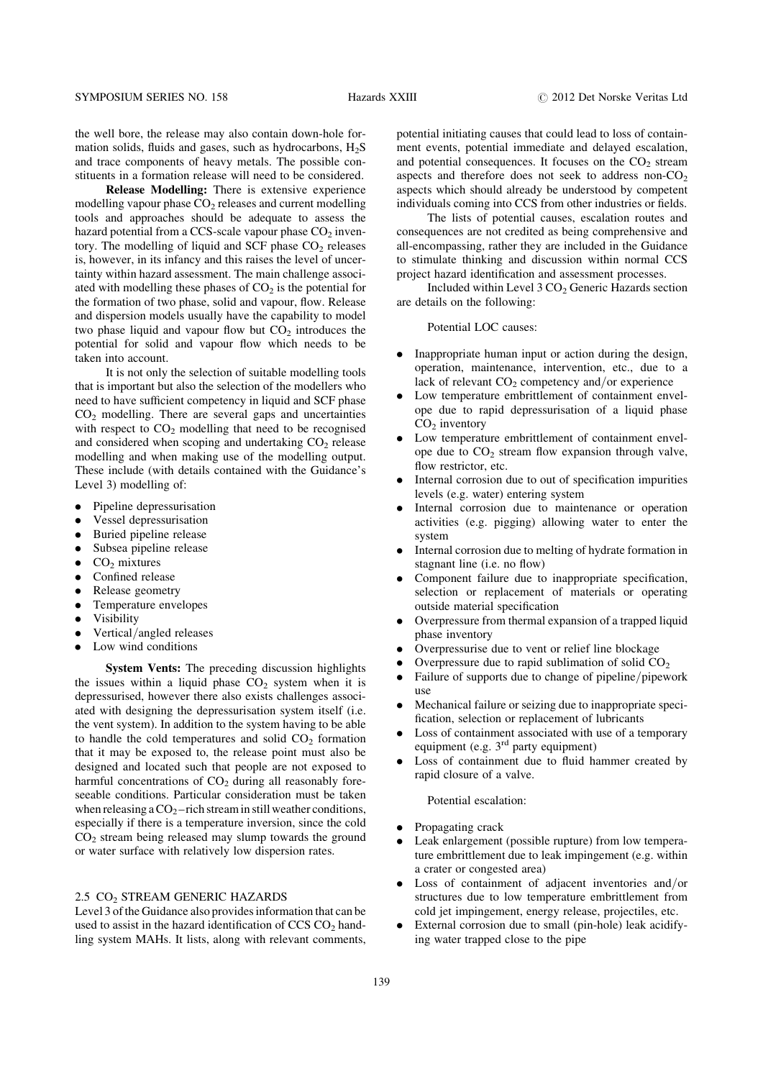the well bore, the release may also contain down-hole formation solids, fluids and gases, such as hydrocarbons,  $H_2S$ and trace components of heavy metals. The possible constituents in a formation release will need to be considered.

Release Modelling: There is extensive experience modelling vapour phase  $CO<sub>2</sub>$  releases and current modelling tools and approaches should be adequate to assess the hazard potential from a CCS-scale vapour phase  $CO<sub>2</sub>$  inventory. The modelling of liquid and SCF phase  $CO<sub>2</sub>$  releases is, however, in its infancy and this raises the level of uncertainty within hazard assessment. The main challenge associated with modelling these phases of  $CO<sub>2</sub>$  is the potential for the formation of two phase, solid and vapour, flow. Release and dispersion models usually have the capability to model two phase liquid and vapour flow but  $CO<sub>2</sub>$  introduces the potential for solid and vapour flow which needs to be taken into account.

It is not only the selection of suitable modelling tools that is important but also the selection of the modellers who need to have sufficient competency in liquid and SCF phase  $CO<sub>2</sub>$  modelling. There are several gaps and uncertainties with respect to  $CO<sub>2</sub>$  modelling that need to be recognised and considered when scoping and undertaking  $CO<sub>2</sub>$  release modelling and when making use of the modelling output. These include (with details contained with the Guidance's Level 3) modelling of:

- . Pipeline depressurisation
- . Vessel depressurisation
- . Buried pipeline release
- . Subsea pipeline release
- $\bullet$  CO<sub>2</sub> mixtures
- Confined release
- Release geometry
- . Temperature envelopes
- . Visibility
- . Vertical/angled releases
- . Low wind conditions

System Vents: The preceding discussion highlights the issues within a liquid phase  $CO<sub>2</sub>$  system when it is depressurised, however there also exists challenges associated with designing the depressurisation system itself (i.e. the vent system). In addition to the system having to be able to handle the cold temperatures and solid  $CO<sub>2</sub>$  formation that it may be exposed to, the release point must also be designed and located such that people are not exposed to harmful concentrations of  $CO<sub>2</sub>$  during all reasonably foreseeable conditions. Particular consideration must be taken when releasing a  $CO<sub>2</sub>$ -rich stream in still weather conditions, especially if there is a temperature inversion, since the cold  $CO<sub>2</sub>$  stream being released may slump towards the ground or water surface with relatively low dispersion rates.

### 2.5 CO<sub>2</sub> STREAM GENERIC HAZARDS

Level 3 of the Guidance also provides information that can be used to assist in the hazard identification of  $CCS CO<sub>2</sub>$  handling system MAHs. It lists, along with relevant comments, potential initiating causes that could lead to loss of containment events, potential immediate and delayed escalation, and potential consequences. It focuses on the  $CO<sub>2</sub>$  stream aspects and therefore does not seek to address non- $CO<sub>2</sub>$ aspects which should already be understood by competent individuals coming into CCS from other industries or fields.

The lists of potential causes, escalation routes and consequences are not credited as being comprehensive and all-encompassing, rather they are included in the Guidance to stimulate thinking and discussion within normal CCS project hazard identification and assessment processes.

Included within Level  $3 \text{ CO}_2$  Generic Hazards section are details on the following:

Potential LOC causes:

- . Inappropriate human input or action during the design, operation, maintenance, intervention, etc., due to a lack of relevant  $CO<sub>2</sub>$  competency and/or experience
- . Low temperature embrittlement of containment envelope due to rapid depressurisation of a liquid phase  $CO<sub>2</sub>$  inventory
- . Low temperature embrittlement of containment envelope due to  $CO<sub>2</sub>$  stream flow expansion through valve, flow restrictor, etc.
- . Internal corrosion due to out of specification impurities levels (e.g. water) entering system
- . Internal corrosion due to maintenance or operation activities (e.g. pigging) allowing water to enter the system
- . Internal corrosion due to melting of hydrate formation in stagnant line (i.e. no flow)
- . Component failure due to inappropriate specification, selection or replacement of materials or operating outside material specification
- . Overpressure from thermal expansion of a trapped liquid phase inventory
- . Overpressurise due to vent or relief line blockage
- Overpressure due to rapid sublimation of solid  $CO<sub>2</sub>$
- . Failure of supports due to change of pipeline/pipework use
- . Mechanical failure or seizing due to inappropriate specification, selection or replacement of lubricants
- . Loss of containment associated with use of a temporary equipment (e.g.  $3<sup>rd</sup>$  party equipment)
- . Loss of containment due to fluid hammer created by rapid closure of a valve.

Potential escalation:

- . Propagating crack
- . Leak enlargement (possible rupture) from low temperature embrittlement due to leak impingement (e.g. within a crater or congested area)
- Loss of containment of adjacent inventories and/or structures due to low temperature embrittlement from cold jet impingement, energy release, projectiles, etc.
- . External corrosion due to small (pin-hole) leak acidifying water trapped close to the pipe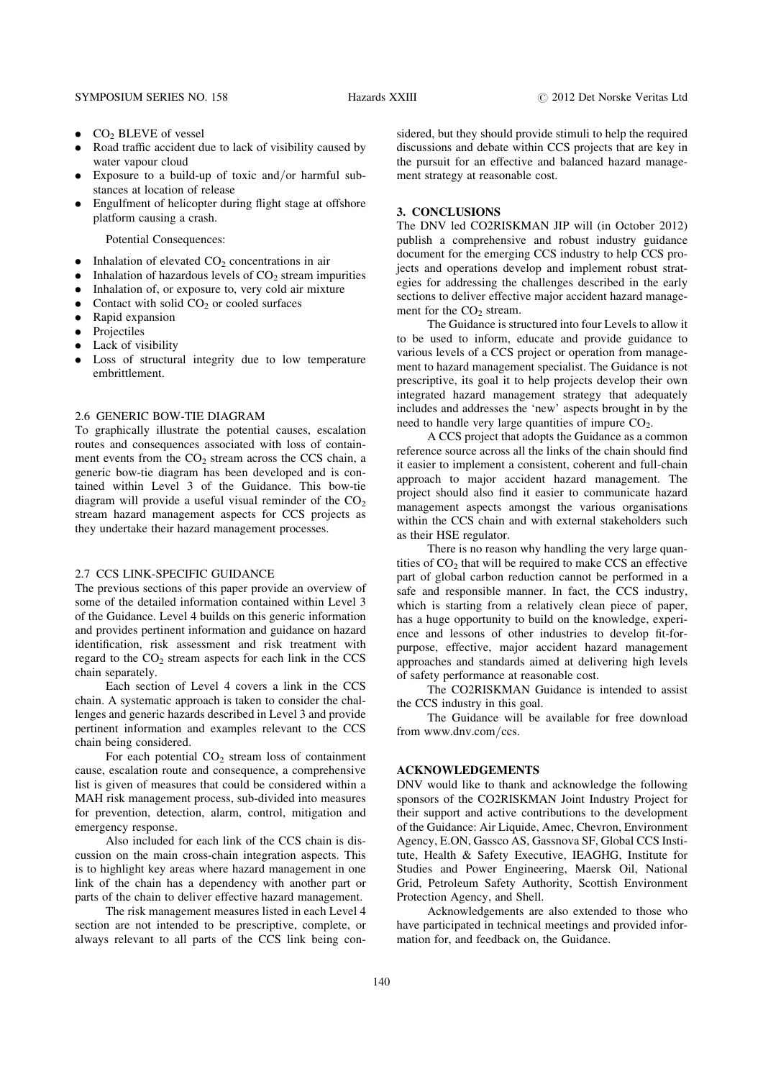- $\bullet$  CO<sub>2</sub> BLEVE of vessel
- . Road traffic accident due to lack of visibility caused by water vapour cloud
- . Exposure to a build-up of toxic and/or harmful substances at location of release
- . Engulfment of helicopter during flight stage at offshore platform causing a crash.

Potential Consequences:

- Inhalation of elevated  $CO<sub>2</sub>$  concentrations in air
- Inhalation of hazardous levels of  $CO<sub>2</sub>$  stream impurities
- . Inhalation of, or exposure to, very cold air mixture
- Contact with solid  $CO<sub>2</sub>$  or cooled surfaces
- Rapid expansion
- . Projectiles
- . Lack of visibility
- . Loss of structural integrity due to low temperature embrittlement.

#### 2.6 GENERIC BOW-TIE DIAGRAM

To graphically illustrate the potential causes, escalation routes and consequences associated with loss of containment events from the  $CO<sub>2</sub>$  stream across the CCS chain, a generic bow-tie diagram has been developed and is contained within Level 3 of the Guidance. This bow-tie diagram will provide a useful visual reminder of the  $CO<sub>2</sub>$ stream hazard management aspects for CCS projects as they undertake their hazard management processes.

#### 2.7 CCS LINK-SPECIFIC GUIDANCE

The previous sections of this paper provide an overview of some of the detailed information contained within Level 3 of the Guidance. Level 4 builds on this generic information and provides pertinent information and guidance on hazard identification, risk assessment and risk treatment with regard to the  $CO<sub>2</sub>$  stream aspects for each link in the CCS chain separately.

Each section of Level 4 covers a link in the CCS chain. A systematic approach is taken to consider the challenges and generic hazards described in Level 3 and provide pertinent information and examples relevant to the CCS chain being considered.

For each potential  $CO<sub>2</sub>$  stream loss of containment cause, escalation route and consequence, a comprehensive list is given of measures that could be considered within a MAH risk management process, sub-divided into measures for prevention, detection, alarm, control, mitigation and emergency response.

Also included for each link of the CCS chain is discussion on the main cross-chain integration aspects. This is to highlight key areas where hazard management in one link of the chain has a dependency with another part or parts of the chain to deliver effective hazard management.

The risk management measures listed in each Level 4 section are not intended to be prescriptive, complete, or always relevant to all parts of the CCS link being considered, but they should provide stimuli to help the required discussions and debate within CCS projects that are key in the pursuit for an effective and balanced hazard management strategy at reasonable cost.

#### 3. CONCLUSIONS

The DNV led CO2RISKMAN JIP will (in October 2012) publish a comprehensive and robust industry guidance document for the emerging CCS industry to help CCS projects and operations develop and implement robust strategies for addressing the challenges described in the early sections to deliver effective major accident hazard management for the  $CO<sub>2</sub>$  stream.

The Guidance is structured into four Levels to allow it to be used to inform, educate and provide guidance to various levels of a CCS project or operation from management to hazard management specialist. The Guidance is not prescriptive, its goal it to help projects develop their own integrated hazard management strategy that adequately includes and addresses the 'new' aspects brought in by the need to handle very large quantities of impure  $CO<sub>2</sub>$ .

A CCS project that adopts the Guidance as a common reference source across all the links of the chain should find it easier to implement a consistent, coherent and full-chain approach to major accident hazard management. The project should also find it easier to communicate hazard management aspects amongst the various organisations within the CCS chain and with external stakeholders such as their HSE regulator.

There is no reason why handling the very large quantities of  $CO<sub>2</sub>$  that will be required to make CCS an effective part of global carbon reduction cannot be performed in a safe and responsible manner. In fact, the CCS industry, which is starting from a relatively clean piece of paper, has a huge opportunity to build on the knowledge, experience and lessons of other industries to develop fit-forpurpose, effective, major accident hazard management approaches and standards aimed at delivering high levels of safety performance at reasonable cost.

The CO2RISKMAN Guidance is intended to assist the CCS industry in this goal.

The Guidance will be available for free download from www.dnv.com/ccs.

## ACKNOWLEDGEMENTS

DNV would like to thank and acknowledge the following sponsors of the CO2RISKMAN Joint Industry Project for their support and active contributions to the development of the Guidance: Air Liquide, Amec, Chevron, Environment Agency, E.ON, Gassco AS, Gassnova SF, Global CCS Institute, Health & Safety Executive, IEAGHG, Institute for Studies and Power Engineering, Maersk Oil, National Grid, Petroleum Safety Authority, Scottish Environment Protection Agency, and Shell.

Acknowledgements are also extended to those who have participated in technical meetings and provided information for, and feedback on, the Guidance.